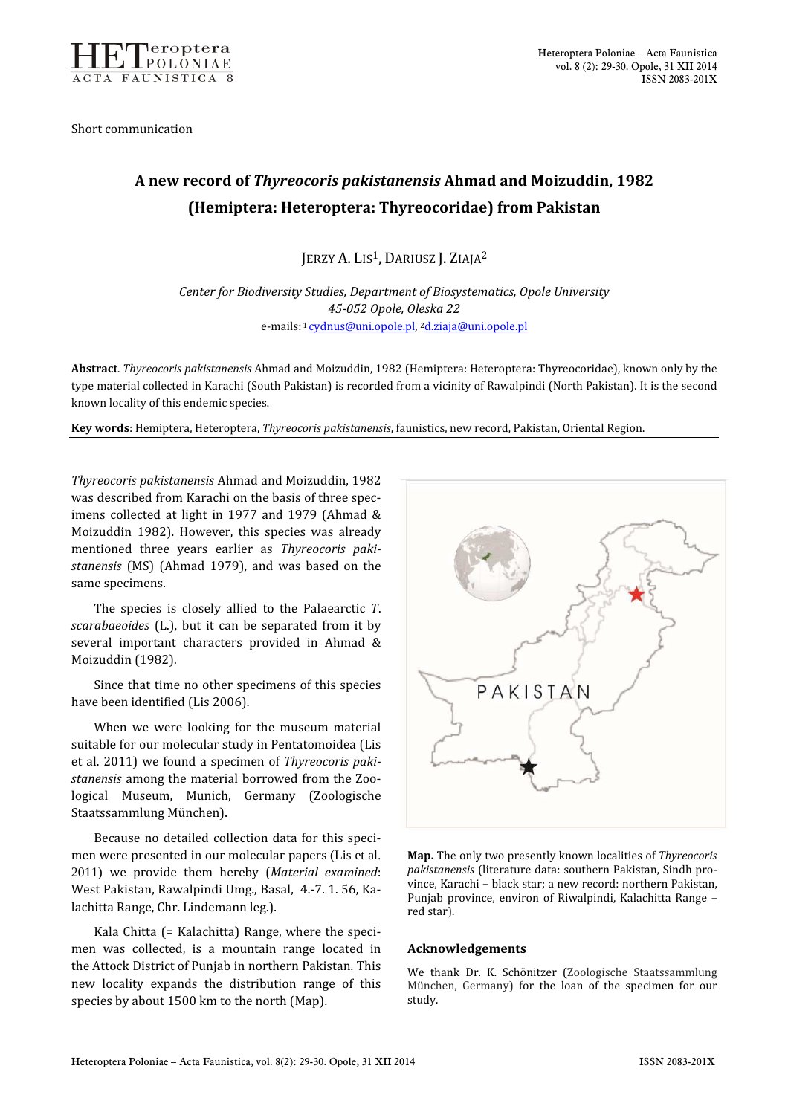

Short communication

## A new record of Thyreocoris pakistanensis Ahmad and Moizuddin, 1982 (Hemiptera: Heteroptera: Thyreocoridae) from Pakistan

JERZY A. LIS<sup>1</sup>, DARIUSZ J. ZIAJA<sup>2</sup>

Center for Biodiversity Studies, Department of Biosystematics, Opole University 45-052 Opole, Oleska 22 e-mails: 1 cydnus@uni.opole.pl, <sup>2</sup>d.ziaja@uni.opole.pl

Abstract. Thyreocoris pakistanensis Ahmad and Moizuddin, 1982 (Hemiptera: Heteroptera: Thyreocoridae), known only by the type material collected in Karachi (South Pakistan) is recorded from a vicinity of Rawalpindi (North Pakistan). It is the second known locality of this endemic species.

Key words: Hemiptera, Heteroptera, Thyreocoris pakistanensis, faunistics, new record, Pakistan, Oriental Region.

Thyreocoris pakistanensis Ahmad and Moizuddin, 1982 was described from Karachi on the basis of three specimens collected at light in 1977 and 1979 (Ahmad & Moizuddin 1982). However, this species was already mentioned three years earlier as Thyreocoris pakistanensis (MS) (Ahmad 1979), and was based on the same specimens.

 The species is closely allied to the Palaearctic T. scarabaeoides (L.), but it can be separated from it by several important characters provided in Ahmad & Moizuddin (1982).

Since that time no other specimens of this species have been identified (Lis 2006).

When we were looking for the museum material suitable for our molecular study in Pentatomoidea (Lis et al. 2011) we found a specimen of Thyreocoris pakistanensis among the material borrowed from the Zoological Museum, Munich, Germany (Zoologische Staatssammlung München).

Because no detailed collection data for this specimen were presented in our molecular papers (Lis et al. 2011) we provide them hereby (Material examined: West Pakistan, Rawalpindi Umg., Basal, 4.-7. 1. 56, Kalachitta Range, Chr. Lindemann leg.).

Kala Chitta (= Kalachitta) Range, where the specimen was collected, is a mountain range located in the Attock District of Punjab in northern Pakistan. This new locality expands the distribution range of this species by about 1500 km to the north (Map).



Map. The only two presently known localities of Thyreocoris pakistanensis (literature data: southern Pakistan, Sindh province, Karachi – black star; a new record: northern Pakistan, Punjab province, environ of Riwalpindi, Kalachitta Range – red star).

## Acknowledgements

We thank Dr. K. Schönitzer (Zoologische Staatssammlung München, Germany) for the loan of the specimen for our study.